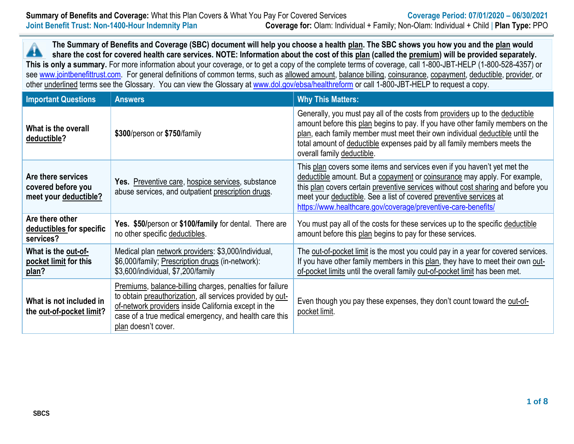**The Summary of Benefits and Coverage (SBC) document will help you choose a health plan. The SBC shows you how you and the plan would**  $\blacktriangle$ **share the cost for covered health care services. NOTE: Information about the cost of this plan (called the premium) will be provided separately. This is only a summary.** For more information about your coverage, or to get a copy of the complete terms of coverage, call 1-800-JBT-HELP (1-800-528-4357) or see [www.jointbenefittrust.com.](http://www.jointbenefittrust.com/) For general definitions of common terms, such as allowed amount, balance billing, coinsurance, copayment, deductible, provider, or other underlined terms see the Glossary. You can view the Glossary at [www.dol.gov/ebsa/healthreform](http://www.dol.gov/ebsa/healthreform) or call 1-800-JBT-HELP to request a copy.

| <b>Important Questions</b>                                        | <b>Answers</b>                                                                                                                                                                                                                                                 | <b>Why This Matters:</b>                                                                                                                                                                                                                                                                                                                                                         |
|-------------------------------------------------------------------|----------------------------------------------------------------------------------------------------------------------------------------------------------------------------------------------------------------------------------------------------------------|----------------------------------------------------------------------------------------------------------------------------------------------------------------------------------------------------------------------------------------------------------------------------------------------------------------------------------------------------------------------------------|
| What is the overall<br>deductible?                                | \$300/person or \$750/family                                                                                                                                                                                                                                   | Generally, you must pay all of the costs from providers up to the deductible<br>amount before this plan begins to pay. If you have other family members on the<br>plan, each family member must meet their own individual deductible until the<br>total amount of deductible expenses paid by all family members meets the<br>overall family deductible.                         |
| Are there services<br>covered before you<br>meet your deductible? | Yes. Preventive care, hospice services, substance<br>abuse services, and outpatient prescription drugs.                                                                                                                                                        | This plan covers some items and services even if you haven't yet met the<br>deductible amount. But a copayment or coinsurance may apply. For example,<br>this plan covers certain preventive services without cost sharing and before you<br>meet your deductible. See a list of covered preventive services at<br>https://www.healthcare.gov/coverage/preventive-care-benefits/ |
| Are there other<br>deductibles for specific<br>services?          | Yes. \$50/person or \$100/family for dental. There are<br>no other specific deductibles.                                                                                                                                                                       | You must pay all of the costs for these services up to the specific deductible<br>amount before this plan begins to pay for these services.                                                                                                                                                                                                                                      |
| What is the out-of-<br>pocket limit for this<br>plan?             | Medical plan network providers: \$3,000/individual,<br>\$6,000/family; Prescription drugs (in-network):<br>\$3,600/individual, \$7,200/family                                                                                                                  | The out-of-pocket limit is the most you could pay in a year for covered services.<br>If you have other family members in this plan, they have to meet their own out-<br>of-pocket limits until the overall family out-of-pocket limit has been met.                                                                                                                              |
| What is not included in<br>the out-of-pocket limit?               | Premiums, balance-billing charges, penalties for failure<br>to obtain preauthorization, all services provided by out-<br>of-network providers inside California except in the<br>case of a true medical emergency, and health care this<br>plan doesn't cover. | Even though you pay these expenses, they don't count toward the out-of-<br>pocket limit.                                                                                                                                                                                                                                                                                         |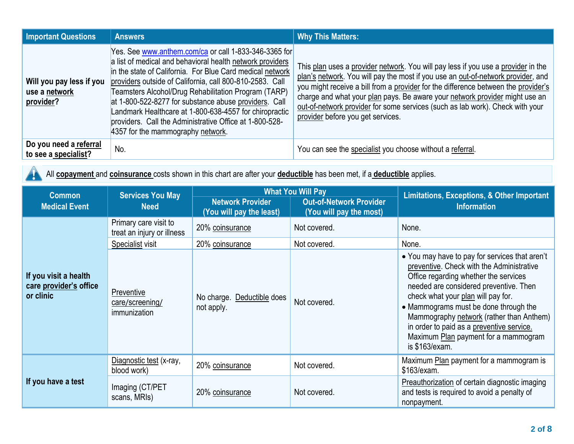| <b>Important Questions</b>                                   | <b>Answers</b>                                      |                                                                                                                                                                                                                                                                                                                                                                                                                                                                                   | <b>Why This Matters:</b>                                                                                                                                                                                                                                                                                                                                                                                                                                         |                                                                                                                                                                                                                                                                                                                                                                                                                  |
|--------------------------------------------------------------|-----------------------------------------------------|-----------------------------------------------------------------------------------------------------------------------------------------------------------------------------------------------------------------------------------------------------------------------------------------------------------------------------------------------------------------------------------------------------------------------------------------------------------------------------------|------------------------------------------------------------------------------------------------------------------------------------------------------------------------------------------------------------------------------------------------------------------------------------------------------------------------------------------------------------------------------------------------------------------------------------------------------------------|------------------------------------------------------------------------------------------------------------------------------------------------------------------------------------------------------------------------------------------------------------------------------------------------------------------------------------------------------------------------------------------------------------------|
| Will you pay less if you<br>use a network<br>provider?       | 4357 for the mammography network.                   | Yes. See www.anthem.com/ca or call 1-833-346-3365 for<br>a list of medical and behavioral health network providers<br>in the state of California. For Blue Card medical network<br>providers outside of California, call 800-810-2583. Call<br>Teamsters Alcohol/Drug Rehabilitation Program (TARP)<br>at 1-800-522-8277 for substance abuse providers. Call<br>Landmark Healthcare at 1-800-638-4557 for chiropractic<br>providers. Call the Administrative Office at 1-800-528- | This plan uses a provider network. You will pay less if you use a provider in the<br>plan's network. You will pay the most if you use an out-of-network provider, and<br>you might receive a bill from a provider for the difference between the provider's<br>charge and what your plan pays. Be aware your network provider might use an<br>out-of-network provider for some services (such as lab work). Check with your<br>provider before you get services. |                                                                                                                                                                                                                                                                                                                                                                                                                  |
| Do you need a referral<br>to see a specialist?               | No.                                                 |                                                                                                                                                                                                                                                                                                                                                                                                                                                                                   | You can see the specialist you choose without a referral.                                                                                                                                                                                                                                                                                                                                                                                                        |                                                                                                                                                                                                                                                                                                                                                                                                                  |
|                                                              |                                                     |                                                                                                                                                                                                                                                                                                                                                                                                                                                                                   | All copayment and coinsurance costs shown in this chart are after your deductible has been met, if a deductible applies.                                                                                                                                                                                                                                                                                                                                         |                                                                                                                                                                                                                                                                                                                                                                                                                  |
| <b>Common</b><br><b>Medical Event</b>                        | <b>Services You May</b><br><b>Need</b>              | <b>Network Provider</b><br>(You will pay the least)                                                                                                                                                                                                                                                                                                                                                                                                                               | <b>What You Will Pay</b><br><b>Out-of-Network Provider</b><br>(You will pay the most)                                                                                                                                                                                                                                                                                                                                                                            | <b>Limitations, Exceptions, &amp; Other Important</b><br><b>Information</b>                                                                                                                                                                                                                                                                                                                                      |
|                                                              | Primary care visit to<br>treat an injury or illness | 20% coinsurance                                                                                                                                                                                                                                                                                                                                                                                                                                                                   | Not covered.                                                                                                                                                                                                                                                                                                                                                                                                                                                     | None.                                                                                                                                                                                                                                                                                                                                                                                                            |
|                                                              | Specialist visit                                    | 20% coinsurance                                                                                                                                                                                                                                                                                                                                                                                                                                                                   | Not covered.                                                                                                                                                                                                                                                                                                                                                                                                                                                     | None.                                                                                                                                                                                                                                                                                                                                                                                                            |
| If you visit a health<br>care provider's office<br>or clinic | Preventive<br>care/screening/<br>immunization       | No charge. Deductible does<br>not apply.                                                                                                                                                                                                                                                                                                                                                                                                                                          | Not covered.                                                                                                                                                                                                                                                                                                                                                                                                                                                     | • You may have to pay for services that aren't<br>preventive. Check with the Administrative<br>Office regarding whether the services<br>needed are considered preventive. Then<br>check what your plan will pay for.<br>• Mammograms must be done through the<br>Mammography network (rather than Anthem)<br>in order to paid as a preventive service.<br>Maximum Plan payment for a mammogram<br>is \$163/exam. |
| If you have a test                                           | Diagnostic test (x-ray,<br>blood work)              | 20% coinsurance                                                                                                                                                                                                                                                                                                                                                                                                                                                                   | Not covered.                                                                                                                                                                                                                                                                                                                                                                                                                                                     | Maximum Plan payment for a mammogram is<br>\$163/exam.                                                                                                                                                                                                                                                                                                                                                           |
|                                                              | Imaging (CT/PET<br>scans, MRIs)                     | 20% coinsurance                                                                                                                                                                                                                                                                                                                                                                                                                                                                   | Not covered.                                                                                                                                                                                                                                                                                                                                                                                                                                                     | Preauthorization of certain diagnostic imaging<br>and tests is required to avoid a penalty of                                                                                                                                                                                                                                                                                                                    |

nonpayment.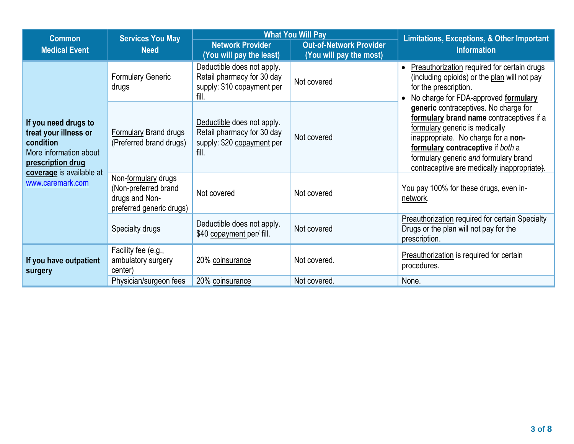| <b>Common</b>                                                                                                                                             | <b>Services You May</b>                                                                   | <b>What You Will Pay</b>                                                                        |                                                           | <b>Limitations, Exceptions, &amp; Other Important</b>                                                                                                                                                                                                                                                                                                                                                                                                   |  |
|-----------------------------------------------------------------------------------------------------------------------------------------------------------|-------------------------------------------------------------------------------------------|-------------------------------------------------------------------------------------------------|-----------------------------------------------------------|---------------------------------------------------------------------------------------------------------------------------------------------------------------------------------------------------------------------------------------------------------------------------------------------------------------------------------------------------------------------------------------------------------------------------------------------------------|--|
| <b>Medical Event</b>                                                                                                                                      | <b>Need</b>                                                                               | <b>Network Provider</b><br>(You will pay the least)                                             | <b>Out-of-Network Provider</b><br>(You will pay the most) | <b>Information</b>                                                                                                                                                                                                                                                                                                                                                                                                                                      |  |
| If you need drugs to<br>treat your illness or<br>condition<br>More information about<br>prescription drug<br>coverage is available at<br>www.caremark.com | <b>Formulary Generic</b><br>drugs                                                         | Deductible does not apply.<br>Retail pharmacy for 30 day<br>supply: \$10 copayment per<br>fill. | Not covered                                               | Preauthorization required for certain drugs<br>(including opioids) or the plan will not pay<br>for the prescription.<br>No charge for FDA-approved formulary<br>generic contraceptives. No charge for<br>formulary brand name contraceptives if a<br>formulary generic is medically<br>inappropriate. No charge for a non-<br>formulary contraceptive if both a<br>formulary generic and formulary brand<br>contraceptive are medically inappropriate). |  |
|                                                                                                                                                           | Formulary Brand drugs<br>(Preferred brand drugs)                                          | Deductible does not apply.<br>Retail pharmacy for 30 day<br>supply: \$20 copayment per<br>fill. | Not covered                                               |                                                                                                                                                                                                                                                                                                                                                                                                                                                         |  |
|                                                                                                                                                           | Non-formulary drugs<br>(Non-preferred brand<br>drugs and Non-<br>preferred generic drugs) | Not covered                                                                                     | Not covered                                               | You pay 100% for these drugs, even in-<br>network.                                                                                                                                                                                                                                                                                                                                                                                                      |  |
|                                                                                                                                                           | <b>Specialty drugs</b>                                                                    | Deductible does not apply.<br>\$40 copayment per/ fill.                                         | Not covered                                               | <b>Preauthorization required for certain Specialty</b><br>Drugs or the plan will not pay for the<br>prescription.                                                                                                                                                                                                                                                                                                                                       |  |
| If you have outpatient<br>surgery                                                                                                                         | Facility fee (e.g.,<br>ambulatory surgery<br>center)                                      | 20% coinsurance                                                                                 | Not covered.                                              | Preauthorization is required for certain<br>procedures.                                                                                                                                                                                                                                                                                                                                                                                                 |  |
|                                                                                                                                                           | Physician/surgeon fees                                                                    | 20% coinsurance                                                                                 | Not covered.                                              | None.                                                                                                                                                                                                                                                                                                                                                                                                                                                   |  |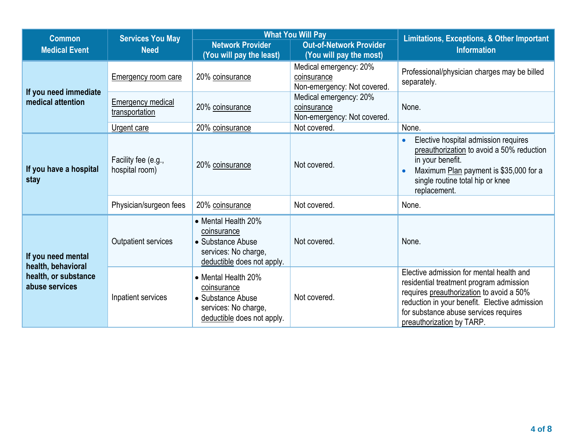| <b>Common</b>                                                                      | <b>Services You May</b><br><b>Need</b>     | <b>What You Will Pay</b>                                                                                      |                                                                      | Limitations, Exceptions, & Other Important                                                                                                                                                                                                             |
|------------------------------------------------------------------------------------|--------------------------------------------|---------------------------------------------------------------------------------------------------------------|----------------------------------------------------------------------|--------------------------------------------------------------------------------------------------------------------------------------------------------------------------------------------------------------------------------------------------------|
| <b>Medical Event</b>                                                               |                                            | <b>Network Provider</b><br>(You will pay the least)                                                           | <b>Out-of-Network Provider</b><br>(You will pay the most)            | <b>Information</b>                                                                                                                                                                                                                                     |
| If you need immediate<br>medical attention                                         | <b>Emergency room care</b>                 | 20% coinsurance                                                                                               | Medical emergency: 20%<br>coinsurance<br>Non-emergency: Not covered. | Professional/physician charges may be billed<br>separately.                                                                                                                                                                                            |
|                                                                                    | <b>Emergency medical</b><br>transportation | 20% coinsurance                                                                                               | Medical emergency: 20%<br>coinsurance<br>Non-emergency: Not covered. | None.                                                                                                                                                                                                                                                  |
|                                                                                    | Urgent care                                | 20% coinsurance                                                                                               | Not covered.                                                         | None.                                                                                                                                                                                                                                                  |
| If you have a hospital<br>stay                                                     | Facility fee (e.g.,<br>hospital room)      | 20% coinsurance                                                                                               | Not covered.                                                         | Elective hospital admission requires<br>$\bullet$<br>preauthorization to avoid a 50% reduction<br>in your benefit.<br>Maximum Plan payment is \$35,000 for a<br>$\bullet$<br>single routine total hip or knee<br>replacement.                          |
|                                                                                    | Physician/surgeon fees                     | 20% coinsurance                                                                                               | Not covered.                                                         | None.                                                                                                                                                                                                                                                  |
| If you need mental<br>health, behavioral<br>health, or substance<br>abuse services | <b>Outpatient services</b>                 | • Mental Health 20%<br>coinsurance<br>• Substance Abuse<br>services: No charge,<br>deductible does not apply. | Not covered.                                                         | None.                                                                                                                                                                                                                                                  |
|                                                                                    | Inpatient services                         | • Mental Health 20%<br>coinsurance<br>• Substance Abuse<br>services: No charge,<br>deductible does not apply. | Not covered.                                                         | Elective admission for mental health and<br>residential treatment program admission<br>requires preauthorization to avoid a 50%<br>reduction in your benefit. Elective admission<br>for substance abuse services requires<br>preauthorization by TARP. |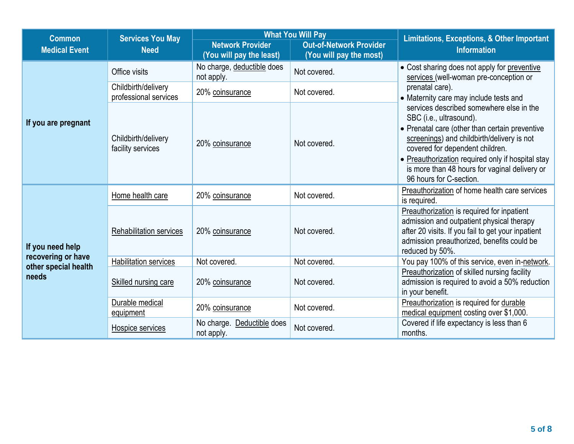| <b>Common</b>                 | <b>Services You May</b>                      | <b>What You Will Pay</b>                            |                                                           | <b>Limitations, Exceptions, &amp; Other Important</b>                                                                                                                                                                                                                                                                                                                                                                                                                                          |  |
|-------------------------------|----------------------------------------------|-----------------------------------------------------|-----------------------------------------------------------|------------------------------------------------------------------------------------------------------------------------------------------------------------------------------------------------------------------------------------------------------------------------------------------------------------------------------------------------------------------------------------------------------------------------------------------------------------------------------------------------|--|
| <b>Medical Event</b>          | <b>Need</b>                                  | <b>Network Provider</b><br>(You will pay the least) | <b>Out-of-Network Provider</b><br>(You will pay the most) | <b>Information</b>                                                                                                                                                                                                                                                                                                                                                                                                                                                                             |  |
|                               | Office visits                                | No charge, deductible does<br>not apply.            | Not covered.                                              | • Cost sharing does not apply for preventive<br>services (well-woman pre-conception or<br>prenatal care).<br>• Maternity care may include tests and<br>services described somewhere else in the<br>SBC (i.e., ultrasound).<br>• Prenatal care (other than certain preventive<br>screenings) and childbirth/delivery is not<br>covered for dependent children.<br>• Preauthorization required only if hospital stay<br>is more than 48 hours for vaginal delivery or<br>96 hours for C-section. |  |
|                               | Childbirth/delivery<br>professional services | 20% coinsurance                                     | Not covered.                                              |                                                                                                                                                                                                                                                                                                                                                                                                                                                                                                |  |
| If you are pregnant           | Childbirth/delivery<br>facility services     | 20% coinsurance                                     | Not covered.                                              |                                                                                                                                                                                                                                                                                                                                                                                                                                                                                                |  |
| If you need help              | Home health care                             | 20% coinsurance                                     | Not covered.                                              | Preauthorization of home health care services<br>is required.                                                                                                                                                                                                                                                                                                                                                                                                                                  |  |
|                               | Rehabilitation services                      | 20% coinsurance                                     | Not covered.                                              | Preauthorization is required for inpatient<br>admission and outpatient physical therapy<br>after 20 visits. If you fail to get your inpatient<br>admission preauthorized, benefits could be<br>reduced by 50%.                                                                                                                                                                                                                                                                                 |  |
| recovering or have            | <b>Habilitation services</b>                 | Not covered.                                        | Not covered.                                              | You pay 100% of this service, even in-network.                                                                                                                                                                                                                                                                                                                                                                                                                                                 |  |
| other special health<br>needs | Skilled nursing care                         | 20% coinsurance                                     | Not covered.                                              | Preauthorization of skilled nursing facility<br>admission is required to avoid a 50% reduction<br>in your benefit.                                                                                                                                                                                                                                                                                                                                                                             |  |
|                               | Durable medical<br>equipment                 | 20% coinsurance                                     | Not covered.                                              | Preauthorization is required for durable<br>medical equipment costing over \$1,000.                                                                                                                                                                                                                                                                                                                                                                                                            |  |
|                               | Hospice services                             | No charge. Deductible does<br>not apply.            | Not covered.                                              | Covered if life expectancy is less than 6<br>months.                                                                                                                                                                                                                                                                                                                                                                                                                                           |  |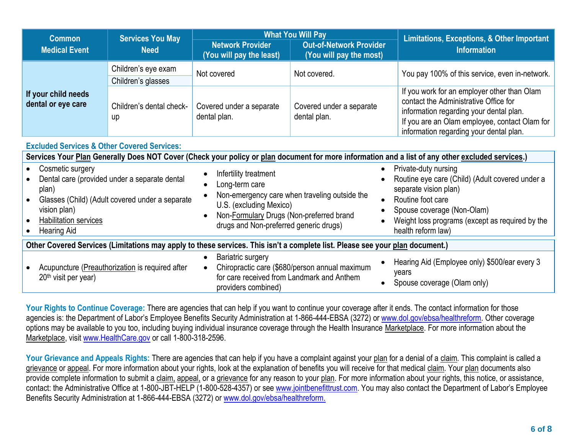| <b>Services You May</b><br><b>Common</b>               |                                                                                                  | <b>What You Will Pay</b>                                          |                                                                         | <b>Limitations, Exceptions, &amp; Other Important</b>                                                                                                                                                                       |  |
|--------------------------------------------------------|--------------------------------------------------------------------------------------------------|-------------------------------------------------------------------|-------------------------------------------------------------------------|-----------------------------------------------------------------------------------------------------------------------------------------------------------------------------------------------------------------------------|--|
| <b>Medical Event</b>                                   | <b>Need</b>                                                                                      |                                                                   | <b>Out-of-Network Provider</b><br>(You will pay the most)               | <b>Information</b>                                                                                                                                                                                                          |  |
|                                                        | Children's eye exam<br>Children's glasses                                                        | Not covered                                                       | Not covered.                                                            | You pay 100% of this service, even in-network.                                                                                                                                                                              |  |
| If your child needs<br>dental or eye care              | Children's dental check-<br>up                                                                   | Covered under a separate<br>dental plan.                          | Covered under a separate<br>dental plan.                                | If you work for an employer other than Olam<br>contact the Administrative Office for<br>information regarding your dental plan.<br>If you are an Olam employee, contact Olam for<br>information regarding your dental plan. |  |
| <b>Excluded Services &amp; Other Covered Services:</b> |                                                                                                  |                                                                   |                                                                         |                                                                                                                                                                                                                             |  |
|                                                        |                                                                                                  |                                                                   |                                                                         | Services Your Plan Generally Does NOT Cover (Check your policy or plan document for more information and a list of any other excluded services.)                                                                            |  |
| Cosmetic surgery<br>plan)                              | Dental care (provided under a separate dental<br>Glasses (Child) (Adult covered under a separate | Infertility treatment<br>Long-term care<br>IIS (evoluding Mexico) | $\bullet$<br>Non-emergency care when traveling outside the<br>$\bullet$ | Private-duty nursing<br>Routine eye care (Child) (Adult covered under a<br>separate vision plan)<br>Routine foot care                                                                                                       |  |

vision plan) • Habilitation services • Hearing Aid U.S. (excluding Mexico) • Non-Formulary Drugs (Non-preferred brand drugs and Non-preferred generic drugs) • Spouse coverage (Non-Olam) • Weight loss programs (except as required by the health reform law) **Other Covered Services (Limitations may apply to these services. This isn't a complete list. Please see your plan document.)** • Bariatric surgery  $\mathbf{H} = \mathbf{H} \cdot \mathbf{H} \cdot \mathbf{H} = \mathbf{H} \cdot \mathbf{H} \cdot \mathbf{H} \cdot \mathbf{H} \cdot \mathbf{H} \cdot \mathbf{H} \cdot \mathbf{H} \cdot \mathbf{H} \cdot \mathbf{H} \cdot \mathbf{H} \cdot \mathbf{H} \cdot \mathbf{H} \cdot \mathbf{H} \cdot \mathbf{H} \cdot \mathbf{H} \cdot \mathbf{H} \cdot \mathbf{H} \cdot \mathbf{H} \cdot \mathbf{H} \cdot \mathbf{H} \cdot \mathbf{H} \cdot \mathbf{H} \cdot \mathbf{H} \cdot \mathbf{H}$ 

| Acupuncture (Preauthorization is required after<br>20 <sup>th</sup> visit per year)<br>providers combined) | Hearing Aid (Employee only) \$500/ear every 3<br>Chiropractic care (\$680/person annual maximum<br>vears<br>for care received from Landmark and Anthem<br>Spouse coverage (Olam only) |
|------------------------------------------------------------------------------------------------------------|---------------------------------------------------------------------------------------------------------------------------------------------------------------------------------------|
|------------------------------------------------------------------------------------------------------------|---------------------------------------------------------------------------------------------------------------------------------------------------------------------------------------|

Your Rights to Continue Coverage: There are agencies that can help if you want to continue your coverage after it ends. The contact information for those agencies is: the Department of Labor's Employee Benefits Security Administration at 1-866-444-EBSA (3272) or [www.dol.gov/ebsa/healthreform.](file:///C:/NRPortbl/EAST/JLH/www.dol.gov/ebsa/healthreform) Other coverage options may be available to you too, including buying individual insurance coverage through the Health Insurance Marketplace. For more information about the Marketplace, visit [www.HealthCare.gov](http://www.healthcare.gov/) or call 1-800-318-2596.

Your Grievance and Appeals Rights: There are agencies that can help if you have a complaint against your plan for a denial of a claim. This complaint is called a grievance or appeal. For more information about your rights, look at the explanation of benefits you will receive for that medical claim. Your plan documents also provide complete information to submit a claim, appeal, or a grievance for any reason to your plan. For more information about your rights, this notice, or assistance, contact: the Administrative Office at 1-800-JBT-HELP (1-800-528-4357) or se[e www.jointbenefittrust.com.](http://www.jointbenefittrust.com/) You may also contact the Department of Labor's Employee Benefits Security Administration at 1-866-444-EBSA (3272) or [www.dol.gov/ebsa/healthreform.](file:///C:/NRPortbl/EAST/JLH/www.dol.gov/ebsa/healthreform)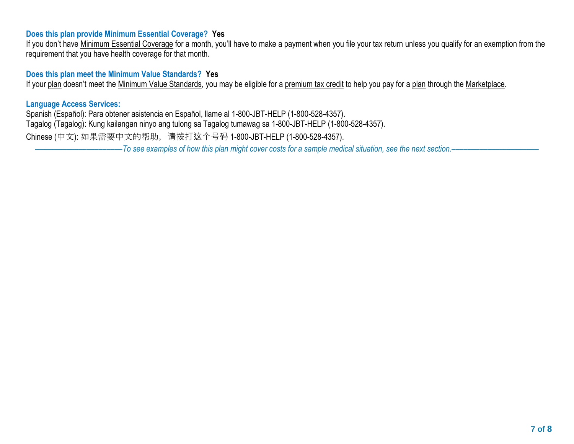## **Does this plan provide Minimum Essential Coverage? Yes**

If you don't have Minimum Essential Coverage for a month, you'll have to make a payment when you file your tax return unless you qualify for an exemption from the requirement that you have health coverage for that month.

## **Does this plan meet the Minimum Value Standards? Yes**

If your plan doesn't meet the Minimum Value Standards, you may be eligible for a premium tax credit to help you pay for a plan through the Marketplace.

### **Language Access Services:**

Spanish (Español): Para obtener asistencia en Español, llame al 1-800-JBT-HELP (1-800-528-4357). Tagalog (Tagalog): Kung kailangan ninyo ang tulong sa Tagalog tumawag sa 1-800-JBT-HELP (1-800-528-4357). Chinese (中文): 如果需要中文的帮助,请拨打这个号码 1-800-JBT-HELP (1-800-528-4357).

––––––––––––––––––––––*To see examples of how this plan might cover costs for a sample medical situation, see the next section.–––––––––––*–––––––––––